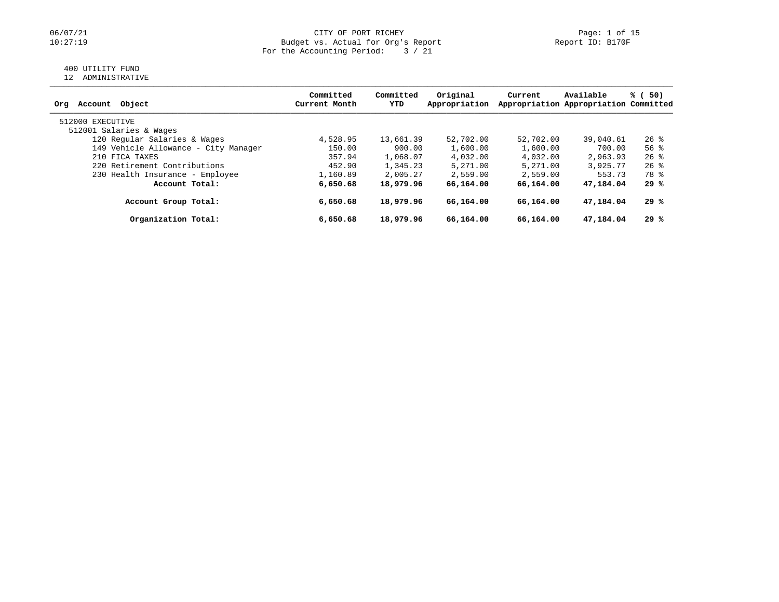# 06/07/21 CITY OF PORT RICHEY Page: 1 of 15<br>10:27:19 Dudget vs. Actual for Org's Report Page: 1 Of 15 Budget vs. Actual for Org's Report For the Accounting Period: 3 / 21

# 400 UTILITY FUND

12 ADMINISTRATIVE

|                                      | Committed     | Committed | Original      | Current   | Available                             | % (<br>50)         |
|--------------------------------------|---------------|-----------|---------------|-----------|---------------------------------------|--------------------|
| Object<br>Account<br>Org             | Current Month | YTD       | Appropriation |           | Appropriation Appropriation Committed |                    |
| 512000 EXECUTIVE                     |               |           |               |           |                                       |                    |
| 512001 Salaries & Wages              |               |           |               |           |                                       |                    |
| 120 Regular Salaries & Wages         | 4,528.95      | 13,661.39 | 52,702.00     | 52,702.00 | 39,040.61                             | $26$ %             |
| 149 Vehicle Allowance - City Manager | 150.00        | 900.00    | 1,600.00      | 1,600.00  | 700.00                                | $56$ $\frac{6}{3}$ |
| 210 FICA TAXES                       | 357.94        | 1,068.07  | 4,032.00      | 4,032.00  | 2,963.93                              | $26$ %             |
| 220 Retirement Contributions         | 452.90        | 1,345.23  | 5,271.00      | 5,271.00  | 3,925.77                              | $26$ %             |
| 230 Health Insurance - Employee      | 1,160.89      | 2,005.27  | 2,559.00      | 2,559.00  | 553.73                                | 78 %               |
| Account Total:                       | 6,650.68      | 18,979.96 | 66,164.00     | 66,164,00 | 47,184.04                             | 29 %               |
| Account Group Total:                 | 6,650.68      | 18,979.96 | 66,164.00     | 66,164.00 | 47,184.04                             | 29 %               |
| Organization Total:                  | 6,650.68      | 18,979.96 | 66,164.00     | 66,164.00 | 47,184.04                             | 29 %               |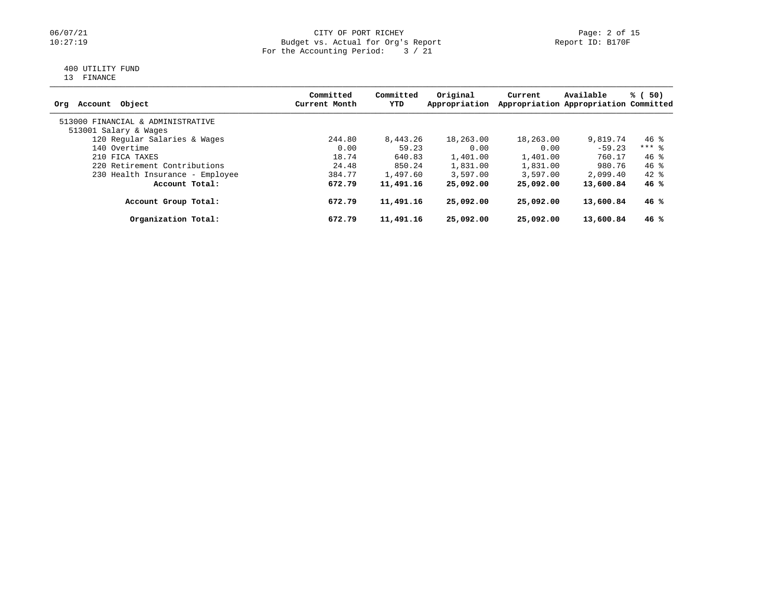# 06/07/21 CITY OF PORT RICHEY Page: 2 of 15<br>10:27:19 Dudget vs. Actual for Org's Report Page: 2 Of 15 10:27:19 Budget vs. Actual for Org's Report Report ID: B170F For the Accounting Period:  $\begin{array}{c} 3 \end{array} / 21$

# 400 UTILITY FUND

13 FINANCE

| Account Object<br>Orq             | Committed<br>Current Month | Committed<br>YTD | Original<br>Appropriation | Current   | Available<br>Appropriation Appropriation Committed | % (<br>50) |
|-----------------------------------|----------------------------|------------------|---------------------------|-----------|----------------------------------------------------|------------|
| 513000 FINANCIAL & ADMINISTRATIVE |                            |                  |                           |           |                                                    |            |
| 513001 Salary & Wages             |                            |                  |                           |           |                                                    |            |
| 120 Regular Salaries & Wages      | 244.80                     | 8,443.26         | 18,263.00                 | 18,263.00 | 9,819.74                                           | $46*$      |
| 140 Overtime                      | 0.00                       | 59.23            | 0.00                      | 0.00      | $-59.23$                                           | $***$ 8    |
| 210 FICA TAXES                    | 18.74                      | 640.83           | 1,401.00                  | 1,401.00  | 760.17                                             | 46%        |
| 220 Retirement Contributions      | 24.48                      | 850.24           | 1,831.00                  | 1,831.00  | 980.76                                             | 46 %       |
| 230 Health Insurance - Employee   | 384.77                     | 1,497.60         | 3,597.00                  | 3,597.00  | 2,099.40                                           | $42*$      |
| Account Total:                    | 672.79                     | 11,491.16        | 25,092.00                 | 25,092.00 | 13,600.84                                          | 46%        |
| Account Group Total:              | 672.79                     | 11,491.16        | 25,092.00                 | 25,092.00 | 13,600.84                                          | 46 %       |
| Organization Total:               | 672.79                     | 11,491.16        | 25,092.00                 | 25,092.00 | 13,600.84                                          | 46 %       |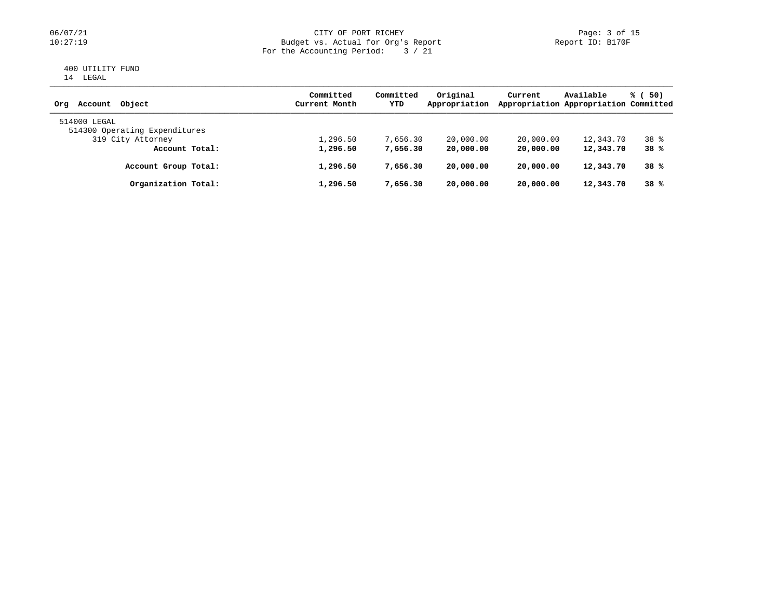# 06/07/21 CITY OF PORT RICHEY Page: 3 of 15<br>10:27:19 Dudget vs. Actual for Org's Report Page: 3 Of 15 Budget vs. Actual for Org's Report For the Accounting Period: 3 / 21

#### 400 UTILITY FUND 14 LEGAL

| Account Object<br>Orq                         | Committed<br>Current Month | Committed<br>YTD | Original<br>Appropriation | Current   | Available<br>Appropriation Appropriation Committed | % (50) |
|-----------------------------------------------|----------------------------|------------------|---------------------------|-----------|----------------------------------------------------|--------|
| 514000 LEGAL<br>514300 Operating Expenditures |                            |                  |                           |           |                                                    |        |
| 319 City Attorney                             | 1,296.50                   | 7,656.30         | 20,000.00                 | 20,000.00 | 12,343.70                                          | $38*$  |
| Account Total:                                | 1,296.50                   | 7,656.30         | 20,000.00                 | 20,000.00 | 12,343.70                                          | 38%    |
| Account Group Total:                          | 1,296.50                   | 7,656.30         | 20,000.00                 | 20,000.00 | 12,343.70                                          | 38%    |
| Organization Total:                           | 1,296.50                   | 7,656.30         | 20,000.00                 | 20,000.00 | 12,343.70                                          | 38%    |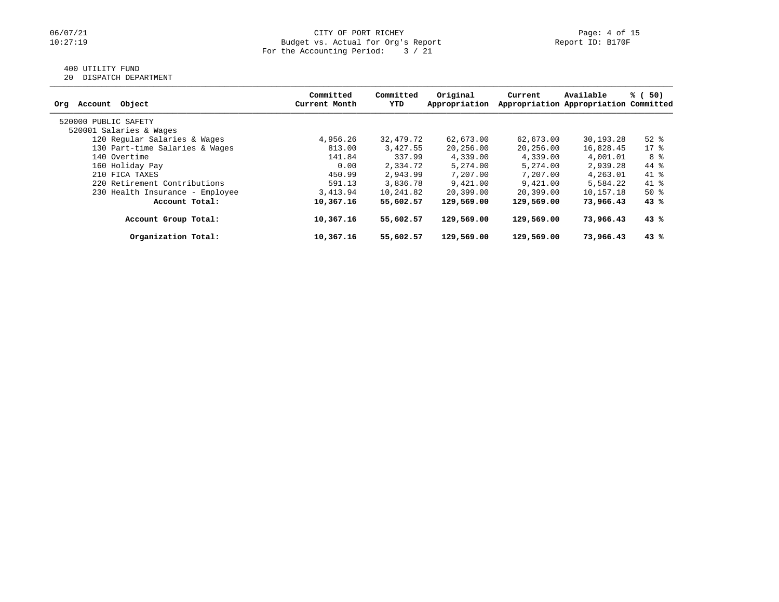# 400 UTILITY FUND

20 DISPATCH DEPARTMENT

| Object<br>Account<br>Org        | Committed<br>Current Month | Committed<br>YTD | Original<br>Appropriation | Current    | Available<br>Appropriation Appropriation Committed | % (<br>50) |
|---------------------------------|----------------------------|------------------|---------------------------|------------|----------------------------------------------------|------------|
| 520000 PUBLIC SAFETY            |                            |                  |                           |            |                                                    |            |
| 520001 Salaries & Wages         |                            |                  |                           |            |                                                    |            |
| 120 Regular Salaries & Wages    | 4,956.26                   | 32,479.72        | 62,673.00                 | 62,673.00  | 30,193.28                                          | $52$ $%$   |
| 130 Part-time Salaries & Wages  | 813.00                     | 3,427.55         | 20,256.00                 | 20,256.00  | 16,828.45                                          | $17*$      |
| 140 Overtime                    | 141.84                     | 337.99           | 4,339.00                  | 4,339.00   | 4,001.01                                           | 8 දි       |
| 160 Holiday Pay                 | 0.00                       | 2,334.72         | 5,274.00                  | 5,274.00   | 2,939.28                                           | 44 %       |
| 210 FICA TAXES                  | 450.99                     | 2,943.99         | 7,207.00                  | 7,207.00   | 4,263.01                                           | $41*$      |
| 220 Retirement Contributions    | 591.13                     | 3,836.78         | 9,421.00                  | 9,421.00   | 5,584.22                                           | $41*$      |
| 230 Health Insurance - Employee | 3,413.94                   | 10,241.82        | 20,399.00                 | 20,399.00  | 10,157.18                                          | $50*$      |
| Account Total:                  | 10,367.16                  | 55,602.57        | 129,569.00                | 129,569.00 | 73,966,43                                          | 43%        |
| Account Group Total:            | 10,367.16                  | 55,602.57        | 129,569.00                | 129,569.00 | 73,966.43                                          | 43%        |
| Organization Total:             | 10,367.16                  | 55,602.57        | 129,569.00                | 129,569.00 | 73,966.43                                          | 43%        |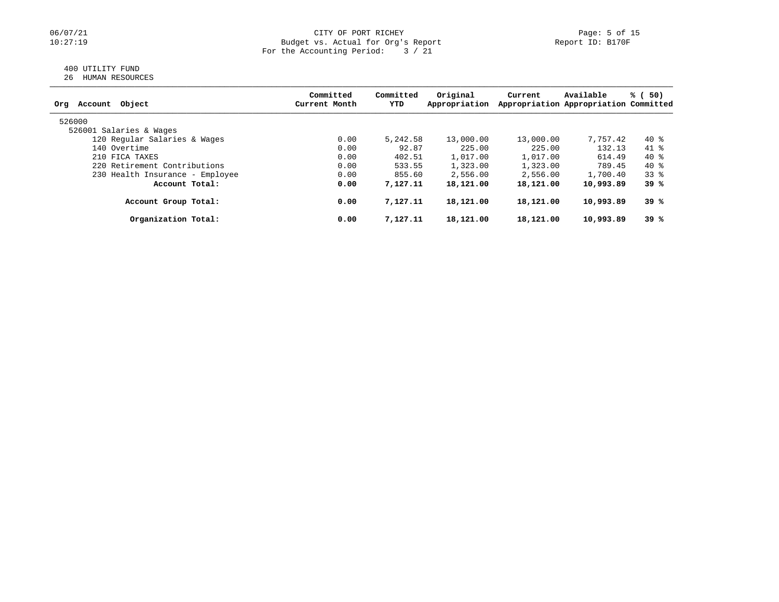# 06/07/21 CITY OF PORT RICHEY Page: 5 of 15<br>10:27:19 Dudget vs. Actual for Org's Report Page: 5 of 15<br>Report ID: B170F Budget vs. Actual for Org's Report For the Accounting Period: 3 / 21

# 400 UTILITY FUND

| 26 | HUMAN RESOURCES |
|----|-----------------|
|    |                 |

| Object<br>Account<br>Org        | Committed<br>Current Month | Committed<br>YTD | Original<br>Appropriation | Current   | Available<br>Appropriation Appropriation Committed | % (<br>50) |
|---------------------------------|----------------------------|------------------|---------------------------|-----------|----------------------------------------------------|------------|
| 526000                          |                            |                  |                           |           |                                                    |            |
| 526001 Salaries & Wages         |                            |                  |                           |           |                                                    |            |
| 120 Regular Salaries & Wages    | 0.00                       | 5,242.58         | 13,000.00                 | 13,000.00 | 7,757.42                                           | 40 %       |
| 140 Overtime                    | 0.00                       | 92.87            | 225.00                    | 225.00    | 132.13                                             | 41 %       |
| 210 FICA TAXES                  | 0.00                       | 402.51           | 1,017.00                  | 1,017.00  | 614.49                                             | 40 %       |
| 220 Retirement Contributions    | 0.00                       | 533.55           | 1,323.00                  | 1,323.00  | 789.45                                             | 40 %       |
| 230 Health Insurance - Employee | 0.00                       | 855.60           | 2,556.00                  | 2,556.00  | 1,700.40                                           | $33*$      |
| Account Total:                  | 0.00                       | 7,127.11         | 18,121.00                 | 18,121.00 | 10,993.89                                          | 39%        |
| Account Group Total:            | 0.00                       | 7,127.11         | 18,121.00                 | 18,121.00 | 10,993.89                                          | 39 %       |
| Organization Total:             | 0.00                       | 7,127.11         | 18,121.00                 | 18,121.00 | 10,993.89                                          | 39%        |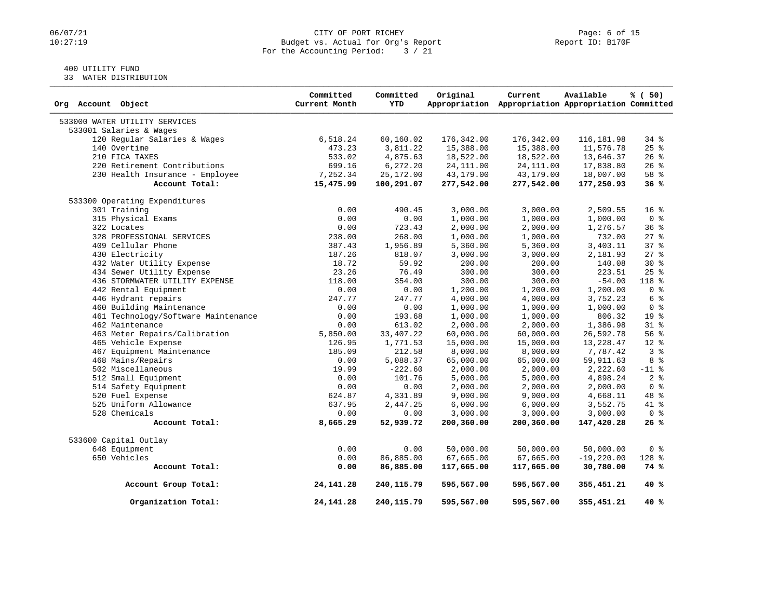# 06/07/21 CITY OF PORT RICHEY Page: 6 of 15<br>10:27:19 Dudget vs. Actual for Org's Report Page: 6 Of 15 Budget vs. Actual for Org's Report For the Accounting Period: 3 / 21

# 400 UTILITY FUND

33 WATER DISTRIBUTION

| Org Account Object                  | Committed<br>Current Month | Committed<br><b>YTD</b> | Original   | Current<br>Appropriation Appropriation Appropriation Committed | Available    | % (50)          |
|-------------------------------------|----------------------------|-------------------------|------------|----------------------------------------------------------------|--------------|-----------------|
| 533000 WATER UTILITY SERVICES       |                            |                         |            |                                                                |              |                 |
| 533001 Salaries & Wages             |                            |                         |            |                                                                |              |                 |
| 120 Regular Salaries & Wages        | 6,518.24                   | 60,160.02               | 176,342.00 | 176,342.00                                                     | 116, 181.98  | 34 %            |
| 140 Overtime                        | 473.23                     | 3,811.22                | 15,388.00  | 15,388.00                                                      | 11,576.78    | $25$ $%$        |
| 210 FICA TAXES                      | 533.02                     | 4,875.63                | 18,522.00  | 18,522.00                                                      | 13,646.37    | $26$ %          |
| 220 Retirement Contributions        | 699.16                     | 6, 272.20               | 24, 111.00 | 24, 111.00                                                     | 17,838.80    | $26$ %          |
| 230 Health Insurance - Employee     | 7,252.34                   | 25,172.00               | 43,179.00  | 43,179.00                                                      | 18,007.00    | 58 %            |
| Account Total:                      | 15,475.99                  | 100,291.07              | 277,542.00 | 277,542.00                                                     | 177,250.93   | 36%             |
| 533300 Operating Expenditures       |                            |                         |            |                                                                |              |                 |
| 301 Training                        | 0.00                       | 490.45                  | 3,000.00   | 3,000.00                                                       | 2,509.55     | 16 <sup>8</sup> |
| 315 Physical Exams                  | 0.00                       | 0.00                    | 1,000.00   | 1,000.00                                                       | 1,000.00     | 0 <sup>8</sup>  |
| 322 Locates                         | 0.00                       | 723.43                  | 2,000.00   | 2,000.00                                                       | 1,276.57     | 36 <sup>8</sup> |
| 328 PROFESSIONAL SERVICES           | 238.00                     | 268.00                  | 1,000.00   | 1,000.00                                                       | 732.00       | $27$ $%$        |
| 409 Cellular Phone                  | 387.43                     | 1,956.89                | 5,360.00   | 5,360.00                                                       | 3,403.11     | 37%             |
| 430 Electricity                     | 187.26                     | 818.07                  | 3,000.00   | 3,000.00                                                       | 2,181.93     | $27$ %          |
| 432 Water Utility Expense           | 18.72                      | 59.92                   | 200.00     | 200.00                                                         | 140.08       | $30*$           |
| 434 Sewer Utility Expense           | 23.26                      | 76.49                   | 300.00     | 300.00                                                         | 223.51       | $25$ $%$        |
| 436 STORMWATER UTILITY EXPENSE      | 118.00                     | 354.00                  | 300.00     | 300.00                                                         | $-54.00$     | 118 %           |
| 442 Rental Equipment                | 0.00                       | 0.00                    | 1,200.00   | 1,200.00                                                       | 1,200.00     | 0 <sup>8</sup>  |
| 446 Hydrant repairs                 | 247.77                     | 247.77                  | 4,000.00   | 4,000.00                                                       | 3,752.23     | 6 %             |
| 460 Building Maintenance            | 0.00                       | 0.00                    | 1,000.00   | 1,000.00                                                       | 1,000.00     | 0 <sup>8</sup>  |
| 461 Technology/Software Maintenance | 0.00                       | 193.68                  | 1,000.00   | 1,000.00                                                       | 806.32       | 19 <sup>°</sup> |
| 462 Maintenance                     | 0.00                       | 613.02                  | 2,000.00   | 2,000.00                                                       | 1,386.98     | 31 %            |
| 463 Meter Repairs/Calibration       | 5,850.00                   | 33, 407.22              | 60,000.00  | 60,000.00                                                      | 26,592.78    | 56 %            |
| 465 Vehicle Expense                 | 126.95                     | 1,771.53                | 15,000.00  | 15,000.00                                                      | 13,228.47    | 12 %            |
| 467 Equipment Maintenance           | 185.09                     | 212.58                  | 8,000.00   | 8,000.00                                                       | 7,787.42     | 3 <sup>8</sup>  |
| 468 Mains/Repairs                   | 0.00                       | 5,088.37                | 65,000.00  | 65,000.00                                                      | 59,911.63    | 8 %             |
| 502 Miscellaneous                   | 19.99                      | $-222.60$               | 2,000.00   | 2,000.00                                                       | 2,222.60     | $-11$ %         |
| 512 Small Equipment                 | 0.00                       | 101.76                  | 5,000.00   | 5,000.00                                                       | 4,898.24     | 2 <sup>°</sup>  |
| 514 Safety Equipment                | 0.00                       | 0.00                    | 2,000.00   | 2,000.00                                                       | 2,000.00     | 0 <sup>8</sup>  |
| 520 Fuel Expense                    | 624.87                     | 4,331.89                | 9,000.00   | 9,000.00                                                       | 4,668.11     | 48 %            |
| 525 Uniform Allowance               | 637.95                     | 2,447.25                | 6,000.00   | 6,000.00                                                       | 3,552.75     | 41 %            |
| 528 Chemicals                       | 0.00                       | 0.00                    | 3,000.00   | 3,000.00                                                       | 3,000.00     | 0 <sup>8</sup>  |
| Account Total:                      | 8,665.29                   | 52,939.72               | 200,360.00 | 200,360.00                                                     | 147,420.28   | 26%             |
| 533600 Capital Outlay               |                            |                         |            |                                                                |              |                 |
| 648 Equipment                       | 0.00                       | 0.00                    | 50,000.00  | 50,000.00                                                      | 50,000.00    | 0 <sup>8</sup>  |
| 650 Vehicles                        | 0.00                       | 86,885.00               | 67,665.00  | 67,665.00                                                      | $-19,220.00$ | $128$ %         |
| Account Total:                      | 0.00                       | 86,885.00               | 117,665.00 | 117,665.00                                                     | 30,780.00    | 74 %            |
| Account Group Total:                | 24, 141. 28                | 240, 115.79             | 595,567.00 | 595,567.00                                                     | 355,451.21   | 40 %            |
| Organization Total:                 | 24, 141. 28                | 240,115.79              | 595,567.00 | 595,567.00                                                     | 355,451.21   | 40%             |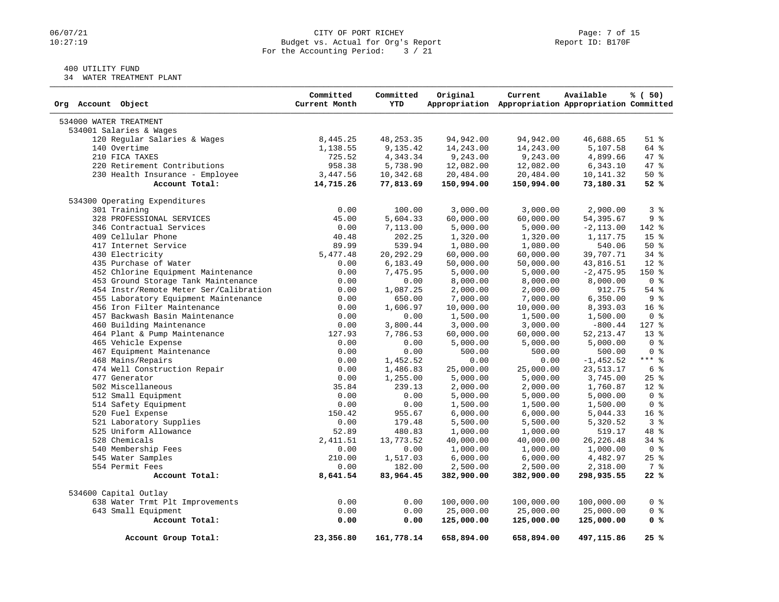#### 06/07/21 CITY OF PORT RICHEY PART ROBER PAGE: 7 of 15<br>10:27:19 Budget vs. Actual for Org's Report (1999) Report ID: B170F Budget vs. Actual for Org's Report For the Accounting Period: 3 / 21

# 400 UTILITY FUND

34 WATER TREATMENT PLANT

| Org Account Object                     | Committed<br>Current Month | Committed<br><b>YTD</b> | Original   | Current<br>Appropriation Appropriation Appropriation Committed | Available    | % (50)          |
|----------------------------------------|----------------------------|-------------------------|------------|----------------------------------------------------------------|--------------|-----------------|
| 534000 WATER TREATMENT                 |                            |                         |            |                                                                |              |                 |
| 534001 Salaries & Wages                |                            |                         |            |                                                                |              |                 |
| 120 Regular Salaries & Wages           | 8,445.25                   | 48, 253.35              | 94,942.00  | 94,942.00                                                      | 46,688.65    | $51$ %          |
| 140 Overtime                           | 1,138.55                   | 9,135.42                | 14,243.00  | 14,243.00                                                      | 5,107.58     | 64 %            |
| 210 FICA TAXES                         | 725.52                     | 4,343.34                | 9,243.00   | 9,243.00                                                       | 4,899.66     | 47 %            |
| 220 Retirement Contributions           | 958.38                     | 5,738.90                | 12,082.00  | 12,082.00                                                      | 6,343.10     | 47.8            |
| 230 Health Insurance - Employee        | 3,447.56                   | 10,342.68               | 20,484.00  | 20,484.00                                                      | 10,141.32    | $50*$           |
| Account Total:                         | 14,715.26                  | 77,813.69               | 150,994.00 | 150,994.00                                                     | 73,180.31    | 52%             |
| 534300 Operating Expenditures          |                            |                         |            |                                                                |              |                 |
| 301 Training                           | 0.00                       | 100.00                  | 3,000.00   | 3,000.00                                                       | 2,900.00     | 3 <sup>8</sup>  |
| 328 PROFESSIONAL SERVICES              | 45.00                      | 5,604.33                | 60,000.00  | 60,000.00                                                      | 54,395.67    | 9 <sup>°</sup>  |
| 346 Contractual Services               | 0.00                       | 7,113.00                | 5,000.00   | 5,000.00                                                       | $-2, 113.00$ | 142 %           |
| 409 Cellular Phone                     | 40.48                      | 202.25                  | 1,320.00   | 1,320.00                                                       | 1,117.75     | 15 <sup>8</sup> |
| 417 Internet Service                   | 89.99                      | 539.94                  | 1,080.00   | 1,080.00                                                       | 540.06       | 50%             |
| 430 Electricity                        | 5,477.48                   | 20, 292. 29             | 60,000.00  | 60,000.00                                                      | 39,707.71    | $34$ $%$        |
| 435 Purchase of Water                  | 0.00                       | 6,183.49                | 50,000.00  | 50,000.00                                                      | 43,816.51    | 12 %            |
| 452 Chlorine Equipment Maintenance     | 0.00                       | 7,475.95                | 5,000.00   | 5,000.00                                                       | $-2,475.95$  | 150 %           |
| 453 Ground Storage Tank Maintenance    | 0.00                       | 0.00                    | 8,000.00   | 8,000.00                                                       | 8,000.00     | 0 <sup>8</sup>  |
| 454 Instr/Remote Meter Ser/Calibration | 0.00                       | 1,087.25                | 2,000.00   | 2,000.00                                                       | 912.75       | $54$ %          |
| 455 Laboratory Equipment Maintenance   | 0.00                       | 650.00                  | 7,000.00   | 7,000.00                                                       | 6,350.00     | 9%              |
| 456 Iron Filter Maintenance            | 0.00                       | 1,606.97                | 10,000.00  | 10,000.00                                                      | 8,393.03     | 16 <sup>8</sup> |
| 457 Backwash Basin Maintenance         | 0.00                       | 0.00                    | 1,500.00   | 1,500.00                                                       | 1,500.00     | 0 <sup>8</sup>  |
| 460 Building Maintenance               | 0.00                       | 3,800.44                | 3,000.00   | 3,000.00                                                       | $-800.44$    | 127 %           |
| 464 Plant & Pump Maintenance           | 127.93                     | 7,786.53                | 60,000.00  | 60,000.00                                                      | 52, 213.47   | $13*$           |
| 465 Vehicle Expense                    | 0.00                       | 0.00                    | 5,000.00   | 5,000.00                                                       | 5,000.00     | 0 <sup>8</sup>  |
| 467 Equipment Maintenance              | 0.00                       | 0.00                    | 500.00     | 500.00                                                         | 500.00       | 0 <sup>8</sup>  |
| 468 Mains/Repairs                      | 0.00                       | 1,452.52                | 0.00       | 0.00                                                           | $-1,452.52$  | $***$ $8$       |
| 474 Well Construction Repair           | 0.00                       | 1,486.83                | 25,000.00  | 25,000.00                                                      | 23, 513. 17  | 6 %             |
| 477 Generator                          | 0.00                       | 1,255.00                | 5,000.00   | 5,000.00                                                       | 3,745.00     | $25$ $%$        |
| 502 Miscellaneous                      | 35.84                      | 239.13                  | 2,000.00   | 2,000.00                                                       | 1,760.87     | $12*$           |
| 512 Small Equipment                    | 0.00                       | 0.00                    | 5,000.00   | 5,000.00                                                       | 5,000.00     | 0 <sup>8</sup>  |
| 514 Safety Equipment                   | 0.00                       | 0.00                    | 1,500.00   | 1,500.00                                                       | 1,500.00     | 0 <sup>8</sup>  |
| 520 Fuel Expense                       | 150.42                     | 955.67                  | 6,000.00   | 6,000.00                                                       | 5,044.33     | 16 <sup>°</sup> |
| 521 Laboratory Supplies                | 0.00                       | 179.48                  | 5,500.00   | 5,500.00                                                       | 5,320.52     | 3 <sup>8</sup>  |
| 525 Uniform Allowance                  | 52.89                      | 480.83                  | 1,000.00   | 1,000.00                                                       | 519.17       | 48 %            |
| 528 Chemicals                          | 2,411.51                   | 13,773.52               | 40,000.00  | 40,000.00                                                      | 26, 226.48   | 34 %            |
| 540 Membership Fees                    | 0.00                       | 0.00                    | 1,000.00   | 1,000.00                                                       | 1,000.00     | 0 <sup>8</sup>  |
| 545 Water Samples                      | 210.00                     | 1,517.03                | 6,000.00   | 6,000.00                                                       | 4,482.97     | $25$ $%$        |
| 554 Permit Fees                        | 0.00                       | 182.00                  | 2,500.00   | 2,500.00                                                       | 2,318.00     | 7 %             |
| Account Total:                         | 8,641.54                   | 83,964.45               | 382,900.00 | 382,900.00                                                     | 298,935.55   | 22%             |
| 534600 Capital Outlay                  |                            |                         |            |                                                                |              |                 |
| 638 Water Trmt Plt Improvements        | 0.00                       | 0.00                    | 100,000.00 | 100,000.00                                                     | 100,000.00   | 0 <sup>8</sup>  |
| 643 Small Equipment                    | 0.00                       | 0.00                    | 25,000.00  | 25,000.00                                                      | 25,000.00    | 0 <sup>8</sup>  |
| Account Total:                         | 0.00                       | 0.00                    | 125,000.00 | 125,000.00                                                     | 125,000.00   | 0 <sup>8</sup>  |
| Account Group Total:                   | 23,356.80                  | 161,778.14              | 658,894.00 | 658,894.00                                                     | 497,115.86   | 25%             |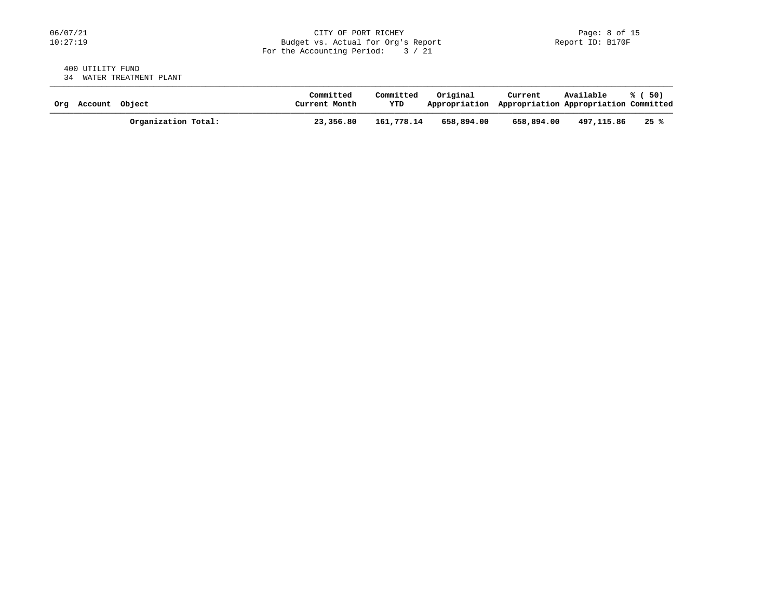#### 400 UTILITY FUND 34 WATER TREATMENT PLANT

| Org Account Object |                     | Committed<br>Current Month | Committed<br>YTD | Original<br>Appropriation Appropriation Appropriation Committed | Current    | Available  | % ( 50) |
|--------------------|---------------------|----------------------------|------------------|-----------------------------------------------------------------|------------|------------|---------|
|                    | Organization Total: | 23,356.80                  | 161,778.14       | 658,894,00                                                      | 658,894.00 | 497,115.86 | 25 %    |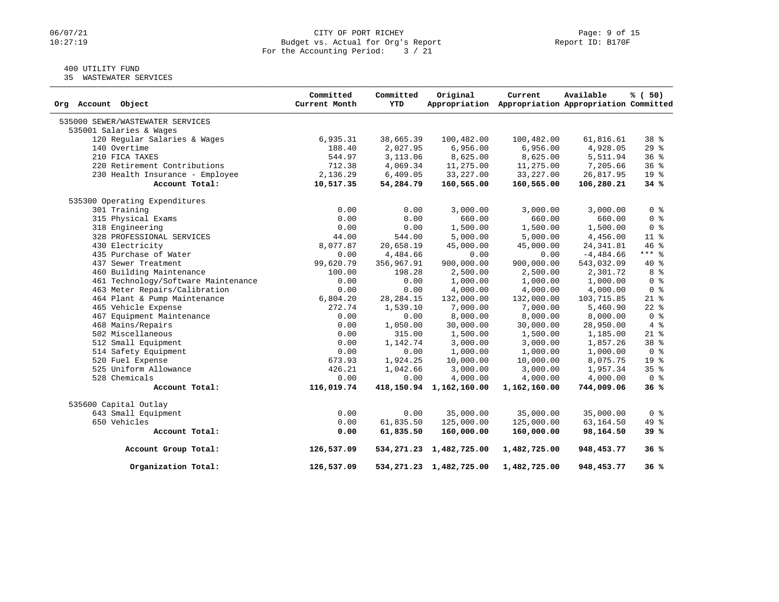# 06/07/21 CITY OF PORT RICHEY Page: 9 of 15<br>10:27:19 Dudget vs. Actual for Org's Report Page: 9 Of 15 Budget vs. Actual for Org's Report For the Accounting Period: 3 / 21

# 400 UTILITY FUND

35 WASTEWATER SERVICES

| Org Account Object                  | Committed<br>Current Month | Committed<br><b>YTD</b> | Original                     | Current<br>Appropriation Appropriation Appropriation Committed | Available    | % (50)          |
|-------------------------------------|----------------------------|-------------------------|------------------------------|----------------------------------------------------------------|--------------|-----------------|
| 535000 SEWER/WASTEWATER SERVICES    |                            |                         |                              |                                                                |              |                 |
| 535001 Salaries & Wages             |                            |                         |                              |                                                                |              |                 |
| 120 Regular Salaries & Wages        | 6,935.31                   | 38,665.39               | 100,482.00                   | 100,482.00                                                     | 61,816.61    | 38 <sup>8</sup> |
| 140 Overtime                        | 188.40                     | 2,027.95                | 6,956.00                     | 6,956.00                                                       | 4,928.05     | 29%             |
| 210 FICA TAXES                      | 544.97                     | 3,113.06                | 8,625.00                     | 8,625.00                                                       | 5,511.94     | 36%             |
| 220 Retirement Contributions        | 712.38                     | 4,069.34                | 11,275.00                    | 11,275.00                                                      | 7,205.66     | 36%             |
| 230 Health Insurance - Employee     | 2,136.29                   | 6,409.05                | 33,227.00                    | 33, 227.00                                                     | 26,817.95    | 19 %            |
| Account Total:                      | 10,517.35                  | 54,284.79               | 160,565.00                   | 160,565.00                                                     | 106,280.21   | 34%             |
| 535300 Operating Expenditures       |                            |                         |                              |                                                                |              |                 |
| 301 Training                        | 0.00                       | 0.00                    | 3,000.00                     | 3,000.00                                                       | 3,000.00     | 0 <sup>8</sup>  |
| 315 Physical Exams                  | 0.00                       | 0.00                    | 660.00                       | 660.00                                                         | 660.00       | 0 <sup>8</sup>  |
| 318 Engineering                     | 0.00                       | 0.00                    | 1,500.00                     | 1,500.00                                                       | 1,500.00     | 0 <sup>8</sup>  |
| 328 PROFESSIONAL SERVICES           | 44.00                      | 544.00                  | 5,000.00                     | 5,000.00                                                       | 4,456.00     | 11 %            |
| 430 Electricity                     | 8,077.87                   | 20,658.19               | 45,000.00                    | 45,000.00                                                      | 24, 341.81   | 46%             |
| 435 Purchase of Water               | 0.00                       | 4,484.66                | 0.00                         | 0.00                                                           | $-4, 484.66$ | $***$ $-$       |
| 437 Sewer Treatment                 | 99,620.79                  | 356,967.91              | 900,000.00                   | 900,000.00                                                     | 543,032.09   | 40 %            |
| 460 Building Maintenance            | 100.00                     | 198.28                  | 2,500.00                     | 2,500.00                                                       | 2,301.72     | 8 %             |
| 461 Technology/Software Maintenance | 0.00                       | 0.00                    | 1,000.00                     | 1,000.00                                                       | 1,000.00     | 0 <sup>8</sup>  |
| 463 Meter Repairs/Calibration       | 0.00                       | 0.00                    | 4,000.00                     | 4,000.00                                                       | 4,000.00     | 0 <sup>8</sup>  |
| 464 Plant & Pump Maintenance        | 6,804.20                   | 28, 284. 15             | 132,000.00                   | 132,000.00                                                     | 103,715.85   | $21*$           |
| 465 Vehicle Expense                 | 272.74                     | 1,539.10                | 7,000.00                     | 7,000.00                                                       | 5,460.90     | $22$ $%$        |
| 467 Equipment Maintenance           | 0.00                       | 0.00                    | 8,000.00                     | 8,000.00                                                       | 8,000.00     | 0 <sup>8</sup>  |
| 468 Mains/Repairs                   | 0.00                       | 1,050.00                | 30,000.00                    | 30,000.00                                                      | 28,950.00    | $4\degree$      |
| 502 Miscellaneous                   | 0.00                       | 315.00                  | 1,500.00                     | 1,500.00                                                       | 1,185.00     | $21$ %          |
| 512 Small Equipment                 | 0.00                       | 1,142.74                | 3,000.00                     | 3,000.00                                                       | 1,857.26     | 38 %            |
| 514 Safety Equipment                | 0.00                       | 0.00                    | 1,000.00                     | 1,000.00                                                       | 1,000.00     | 0 <sup>8</sup>  |
| 520 Fuel Expense                    | 673.93                     | 1,924.25                | 10,000.00                    | 10,000.00                                                      | 8,075.75     | 19 %            |
| 525 Uniform Allowance               | 426.21                     | 1,042.66                | 3,000.00                     | 3,000.00                                                       | 1,957.34     | 35%             |
| 528 Chemicals                       | 0.00                       | 0.00                    | 4,000.00                     | 4,000.00                                                       | 4,000.00     | 0 <sup>8</sup>  |
| Account Total:                      | 116,019.74                 |                         | 418,150.94 1,162,160.00      | 1,162,160.00                                                   | 744,009.06   | 36%             |
| 535600 Capital Outlay               |                            |                         |                              |                                                                |              |                 |
| 643 Small Equipment                 | 0.00                       | 0.00                    | 35,000.00                    | 35,000.00                                                      | 35,000.00    | 0 <sup>8</sup>  |
| 650 Vehicles                        | 0.00                       | 61,835.50               | 125,000.00                   | 125,000.00                                                     | 63,164.50    | 49 %            |
| Account Total:                      | 0.00                       | 61,835.50               | 160,000.00                   | 160,000.00                                                     | 98,164.50    | 39%             |
| Account Group Total:                | 126,537.09                 |                         | 534, 271.23 1, 482, 725.00   | 1,482,725.00                                                   | 948,453.77   | 36%             |
| Organization Total:                 | 126,537.09                 |                         | 534, 271. 23 1, 482, 725. 00 | 1,482,725.00                                                   | 948, 453. 77 | 36%             |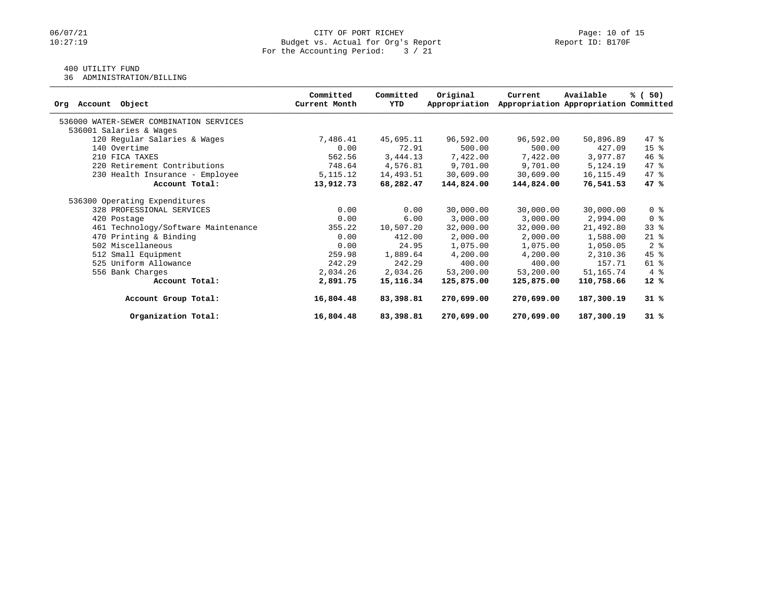# 400 UTILITY FUND

36 ADMINISTRATION/BILLING

|                                         | Committed<br>Current Month | Committed<br>YTD | Original      | Current    | Available                             | % (50)          |
|-----------------------------------------|----------------------------|------------------|---------------|------------|---------------------------------------|-----------------|
| Object<br>Account<br>Orq                |                            |                  | Appropriation |            | Appropriation Appropriation Committed |                 |
| 536000 WATER-SEWER COMBINATION SERVICES |                            |                  |               |            |                                       |                 |
| 536001 Salaries & Wages                 |                            |                  |               |            |                                       |                 |
| 120 Regular Salaries & Wages            | 7,486.41                   | 45,695.11        | 96,592.00     | 96,592.00  | 50,896.89                             | 47 %            |
| 140 Overtime                            | 0.00                       | 72.91            | 500.00        | 500.00     | 427.09                                | 15 <sup>8</sup> |
| 210 FICA TAXES                          | 562.56                     | 3,444.13         | 7,422.00      | 7,422.00   | 3,977.87                              | 46%             |
| 220 Retirement Contributions            | 748.64                     | 4,576.81         | 9,701.00      | 9,701.00   | 5,124.19                              | 47 %            |
| 230 Health Insurance - Employee         | 5, 115. 12                 | 14,493.51        | 30,609.00     | 30,609.00  | 16, 115.49                            | 47 %            |
| Account Total:                          | 13,912.73                  | 68,282.47        | 144,824.00    | 144,824.00 | 76,541.53                             | 47 %            |
| 536300 Operating Expenditures           |                            |                  |               |            |                                       |                 |
| 328 PROFESSIONAL SERVICES               | 0.00                       | 0.00             | 30,000.00     | 30,000.00  | 30,000.00                             | 0 <sup>8</sup>  |
| 420 Postage                             | 0.00                       | 6.00             | 3,000.00      | 3,000.00   | 2,994.00                              | 0 <sup>8</sup>  |
| 461 Technology/Software Maintenance     | 355.22                     | 10,507.20        | 32,000.00     | 32,000.00  | 21,492.80                             | $33$ $%$        |
| 470 Printing & Binding                  | 0.00                       | 412.00           | 2,000.00      | 2,000.00   | 1,588.00                              | $21$ %          |
| 502 Miscellaneous                       | 0.00                       | 24.95            | 1,075.00      | 1,075.00   | 1,050.05                              | 2 <sup>8</sup>  |
| 512 Small Equipment                     | 259.98                     | 1,889.64         | 4,200.00      | 4,200.00   | 2,310.36                              | $45$ %          |
| 525 Uniform Allowance                   | 242.29                     | 242.29           | 400.00        | 400.00     | 157.71                                | 61 %            |
| 556 Bank Charges                        | 2,034.26                   | 2,034.26         | 53,200.00     | 53,200.00  | 51,165.74                             | 4%              |
| Account Total:                          | 2,891.75                   | 15,116.34        | 125,875.00    | 125,875.00 | 110,758.66                            | $12*$           |
| Account Group Total:                    | 16,804.48                  | 83,398.81        | 270,699.00    | 270,699.00 | 187,300.19                            | $31*$           |
| Organization Total:                     | 16,804.48                  | 83,398.81        | 270,699.00    | 270,699.00 | 187,300.19                            | 31%             |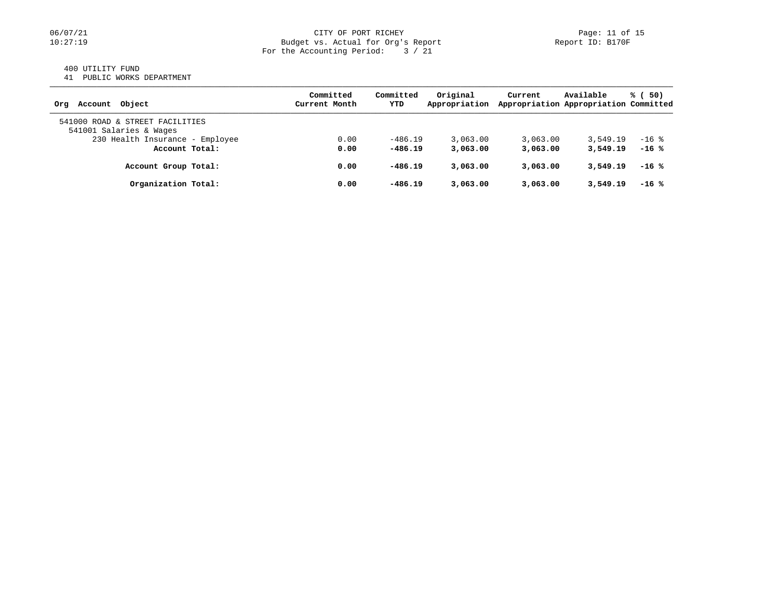#### 400 UTILITY FUND

41 PUBLIC WORKS DEPARTMENT

| Account Object<br>Orq                                      | Committed<br>Current Month | Committed<br>YTD | Original<br>Appropriation | Current  | Available<br>Appropriation Appropriation Committed | % (50)  |
|------------------------------------------------------------|----------------------------|------------------|---------------------------|----------|----------------------------------------------------|---------|
| 541000 ROAD & STREET FACILITIES<br>541001 Salaries & Wages |                            |                  |                           |          |                                                    |         |
| 230 Health Insurance - Employee                            | 0.00                       | $-486.19$        | 3,063.00                  | 3.063.00 | 3,549.19                                           | $-16$ % |
| Account Total:                                             | 0.00                       | $-486.19$        | 3,063,00                  | 3,063,00 | 3,549.19                                           | $-16$ % |
| Account Group Total:                                       | 0.00                       | $-486.19$        | 3,063,00                  | 3,063,00 | 3,549.19                                           | $-16$ % |
| Organization Total:                                        | 0.00                       | $-486.19$        | 3,063,00                  | 3,063,00 | 3,549.19                                           | $-16$ % |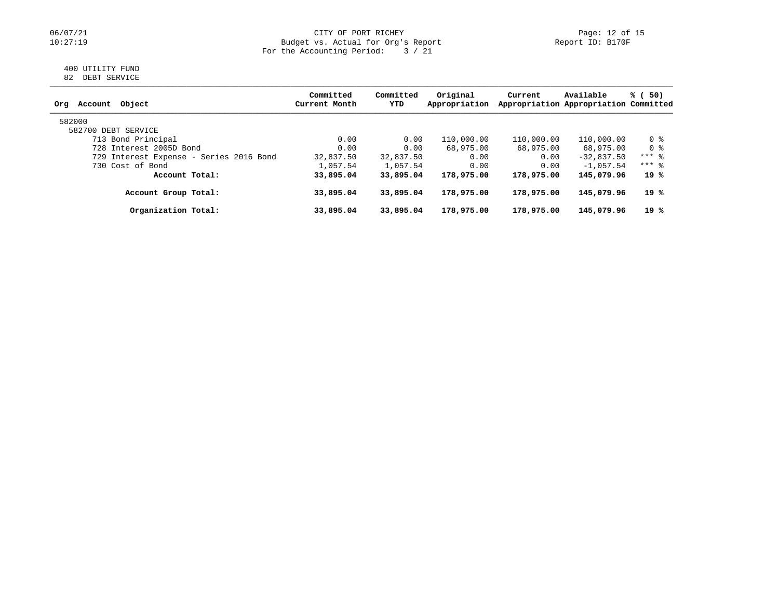#### 06/07/21 CITY OF PORT RICHEY Page: 12 of 15 10:27:19 Budget vs. Actual for Org's Report Report ID: B170F For the Accounting Period: 3 / 21

#### 400 UTILITY FUND 82 DEBT SERVICE

| Object<br>Orq<br>Account                | Committed<br>Current Month | Committed<br>YTD | Original<br>Appropriation | Current    | Available<br>Appropriation Appropriation Committed | % (50)  |
|-----------------------------------------|----------------------------|------------------|---------------------------|------------|----------------------------------------------------|---------|
| 582000                                  |                            |                  |                           |            |                                                    |         |
| 582700 DEBT SERVICE                     |                            |                  |                           |            |                                                    |         |
| 713 Bond Principal                      | 0.00                       | 0.00             | 110,000.00                | 110,000.00 | 110,000.00                                         | 0 %     |
| 728 Interest 2005D Bond                 | 0.00                       | 0.00             | 68,975.00                 | 68,975.00  | 68,975.00                                          | 0 %     |
| 729 Interest Expense - Series 2016 Bond | 32,837.50                  | 32,837.50        | 0.00                      | 0.00       | $-32,837.50$                                       | $***$ 8 |
| 730 Cost of Bond                        | 1,057.54                   | 1,057.54         | 0.00                      | 0.00       | $-1.057.54$                                        | $***$ 8 |
| Account Total:                          | 33,895.04                  | 33,895.04        | 178,975.00                | 178,975.00 | 145,079.96                                         | 19 %    |
| Account Group Total:                    | 33,895.04                  | 33,895.04        | 178,975.00                | 178,975.00 | 145,079.96                                         | 19 %    |
| Organization Total:                     | 33,895.04                  | 33,895.04        | 178,975.00                | 178,975.00 | 145,079.96                                         | 19 %    |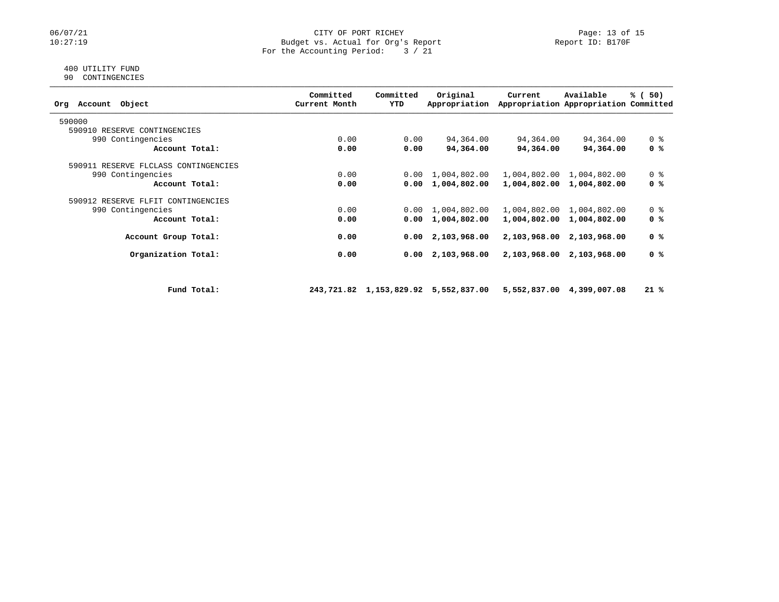#### 06/07/21 CITY OF PORT RICHEY Page: 13 of 15<br>10:27:19 Budget vs. Actual for Org's Report Peport Report ID: B170F Budget vs. Actual for Org's Report For the Accounting Period: 3 / 21

#### 400 UTILITY FUND 90 CONTINGENCIES

| Object<br>Account<br>Orq             |             | Committed<br>Current Month | Committed<br>YTD | Original<br>Appropriation            | Current      | Available<br>Appropriation Appropriation Committed | % (50)         |
|--------------------------------------|-------------|----------------------------|------------------|--------------------------------------|--------------|----------------------------------------------------|----------------|
| 590000                               |             |                            |                  |                                      |              |                                                    |                |
| 590910 RESERVE CONTINGENCIES         |             |                            |                  |                                      |              |                                                    |                |
| 990 Contingencies                    |             | 0.00                       | 0.00             | 94,364.00                            | 94,364.00    | 94,364.00                                          | 0 %            |
| Account Total:                       |             | 0.00                       | 0.00             | 94,364.00                            | 94,364.00    | 94,364.00                                          | 0 %            |
| 590911 RESERVE FLCLASS CONTINGENCIES |             |                            |                  |                                      |              |                                                    |                |
| 990 Contingencies                    |             | 0.00                       | 0.00             | 1,004,802.00                         |              | 1,004,802.00 1,004,802.00                          | 0 <sub>8</sub> |
| Account Total:                       |             | 0.00                       | 0.00             | 1,004,802.00                         |              | 1,004,802.00 1,004,802.00                          | 0 %            |
| 590912 RESERVE FLFIT CONTINGENCIES   |             |                            |                  |                                      |              |                                                    |                |
| 990 Contingencies                    |             | 0.00                       | 0.00             | 1,004,802.00                         |              | 1,004,802.00 1,004,802.00                          | 0 <sup>8</sup> |
| Account Total:                       |             | 0.00                       | 0.00             | 1,004,802.00                         | 1,004,802.00 | 1,004,802.00                                       | 0 %            |
| Account Group Total:                 |             | 0.00                       | 0.00             | 2,103,968.00                         | 2,103,968.00 | 2,103,968.00                                       | 0 %            |
| Organization Total:                  |             | 0.00                       | 0.00             | 2,103,968.00                         |              | 2,103,968.00 2,103,968.00                          | 0 %            |
|                                      |             |                            |                  |                                      |              |                                                    |                |
|                                      | Fund Total: |                            |                  | 243,721.82 1,153,829.92 5,552,837.00 |              | 5,552,837.00 4,399,007.08                          | $21*$          |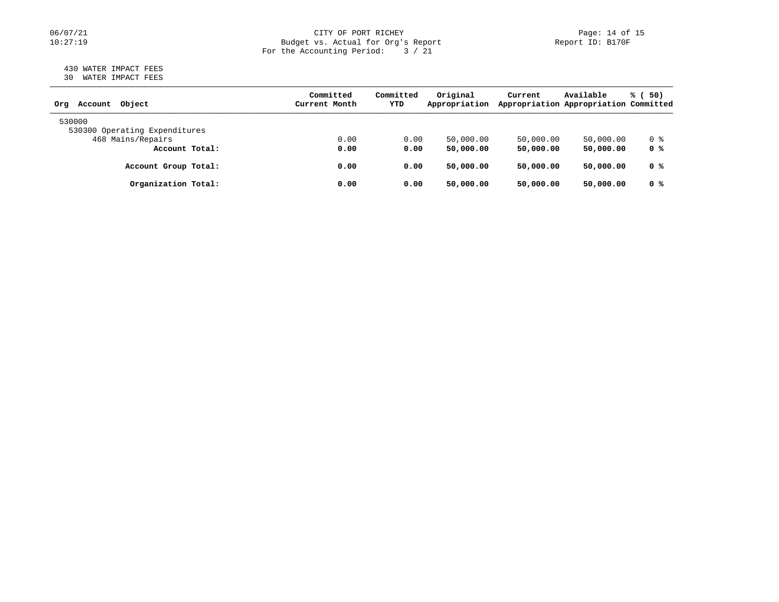# 06/07/21 CITY OF PORT RICHEY Page: 14 of 15<br>Dudget vs. Actual for Org's Report Page: 14 of 15<br>Report ID: B170F Budget vs. Actual for Org's Report For the Accounting Period: 3 / 21

#### 430 WATER IMPACT FEES 30 WATER IMPACT FEES

| Object<br>Account<br>Orq      | Committed<br>Current Month | Committed<br>YTD | Original<br>Appropriation | Current   | Available<br>Appropriation Appropriation Committed | % (<br>50) |
|-------------------------------|----------------------------|------------------|---------------------------|-----------|----------------------------------------------------|------------|
| 530000                        |                            |                  |                           |           |                                                    |            |
| 530300 Operating Expenditures |                            |                  |                           |           |                                                    |            |
| 468 Mains/Repairs             | 0.00                       | 0.00             | 50,000.00                 | 50,000.00 | 50,000.00                                          | 0 %        |
| Account Total:                | 0.00                       | 0.00             | 50,000,00                 | 50,000.00 | 50,000.00                                          | 0 %        |
| Account Group Total:          | 0.00                       | 0.00             | 50,000.00                 | 50,000.00 | 50,000.00                                          | 0 %        |
| Organization Total:           | 0.00                       | 0.00             | 50,000.00                 | 50,000.00 | 50,000.00                                          | 0 %        |